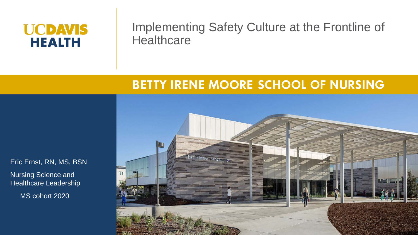#### **UCDAVIS HEALTH**

#### Implementing Safety Culture at the Frontline of **Healthcare**

#### **BETTY IRENE MOORE SCHOOL OF NURSING**

Eric Ernst, RN, MS, BSN Nursing Science and Healthcare Leadership

MS cohort 2020

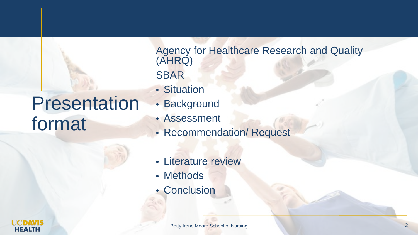# Presentation format

Agency for Healthcare Research and Quality (AHRQ) SBAR

- Situation
- Background
- Assessment
- Recommendation/ Request
- Literature review
- Methods
- Conclusion

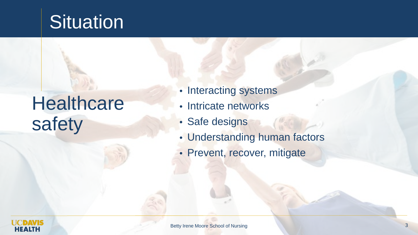# **Situation**

# **Healthcare** safety

- Interacting systems
- Intricate networks
- Safe designs
- Understanding human factors
- Prevent, recover, mitigate

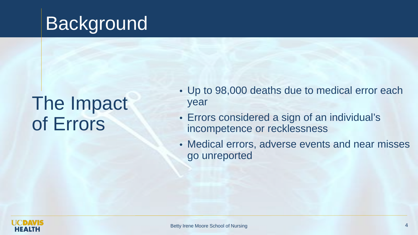# Background

# The Impact of Errors

- Up to 98,000 deaths due to medical error each year
- Errors considered a sign of an individual's incompetence or recklessness
- Medical errors, adverse events and near misses go unreported

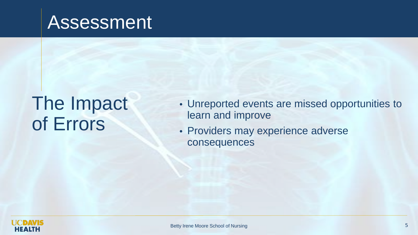### Assessment

# The Impact of Errors

- Unreported events are missed opportunities to learn and improve
- Providers may experience adverse consequences

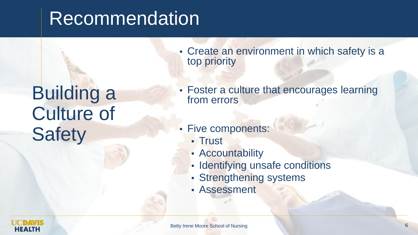# Recommendation

# Building a Culture of **Safety**

- Create an environment in which safety is a top priority
- Foster a culture that encourages learning from errors
- Five components:
	- Trust
	- Accountability
	- Identifying unsafe conditions
	- Strengthening systems
	- Assessment

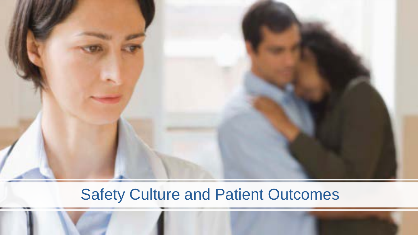

#### Safety Culture and Patient Outcomes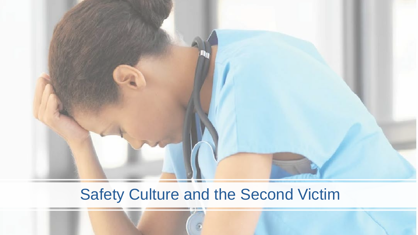

#### Safety Culture and the Second Victim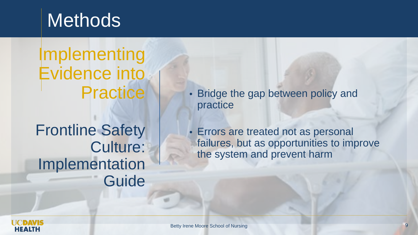### **Methods**

Implementing Evidence into **Practice** 

Frontline Safety Culture: Implementation Guide Bridge the gap between policy and practice

• Errors are treated not as personal failures, but as opportunities to improve the system and prevent harm

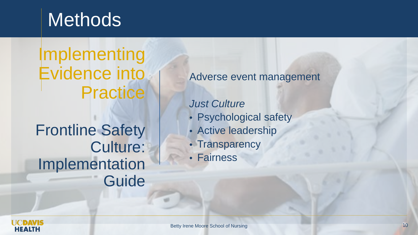### **Methods**

Implementing Evidence into **Practice** 

Frontline Safety Culture: Implementation Guide Adverse event management

*Just Culture*

- Psychological safety
- Active leadership
- Transparency
- Fairness

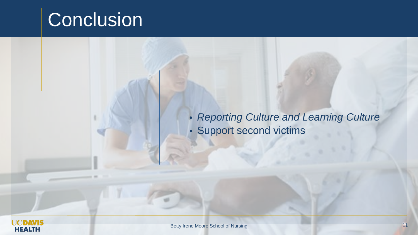#### **Conclusion**

• *Reporting Culture and Learning Culture* • Support second victims